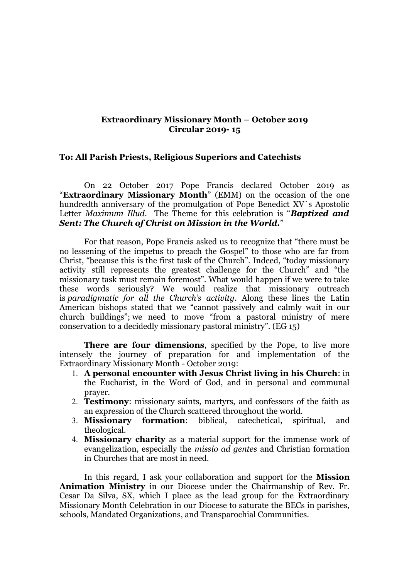## **Extraordinary Missionary Month – October 2019 Circular 2019- 15**

## **To: All Parish Priests, Religious Superiors and Catechists**

On 22 October 2017 Pope Francis declared October 2019 as "**Extraordinary Missionary Month**" (EMM) on the occasion of the one hundredth anniversary of the promulgation of Pope Benedict XV`s Apostolic Letter *Maximum Illud*. The Theme for this celebration is "*Baptized and Sent: The Church of Christ on Mission in the World.*"

For that reason, Pope Francis asked us to recognize that "there must be no lessening of the impetus to preach the Gospel" to those who are far from Christ, "because this is the first task of the Church". Indeed, "today missionary activity still represents the greatest challenge for the Church" and "the missionary task must remain foremost". What would happen if we were to take these words seriously? We would realize that missionary outreach is *paradigmatic for all the Church's activity*. Along these lines the Latin American bishops stated that we "cannot passively and calmly wait in our church buildings"; we need to move "from a pastoral ministry of mere conservation to a decidedly missionary pastoral ministry". (EG 15)

**There are four dimensions**, specified by the Pope, to live more intensely the journey of preparation for and implementation of the Extraordinary Missionary Month - October 2019:

- 1. **A personal encounter with Jesus Christ living in his Church**: in the Eucharist, in the Word of God, and in personal and communal prayer.
- 2. **Testimony**: missionary saints, martyrs, and confessors of the faith as an expression of the Church scattered throughout the world.
- 3. **Missionary formation**: biblical, catechetical, spiritual, and theological.
- 4. **Missionary charity** as a material support for the immense work of evangelization, especially the *missio ad gentes* and Christian formation in Churches that are most in need.

In this regard, I ask your collaboration and support for the **Mission Animation Ministry** in our Diocese under the Chairmanship of Rev. Fr. Cesar Da Silva, SX, which I place as the lead group for the Extraordinary Missionary Month Celebration in our Diocese to saturate the BECs in parishes, schools, Mandated Organizations, and Transparochial Communities.